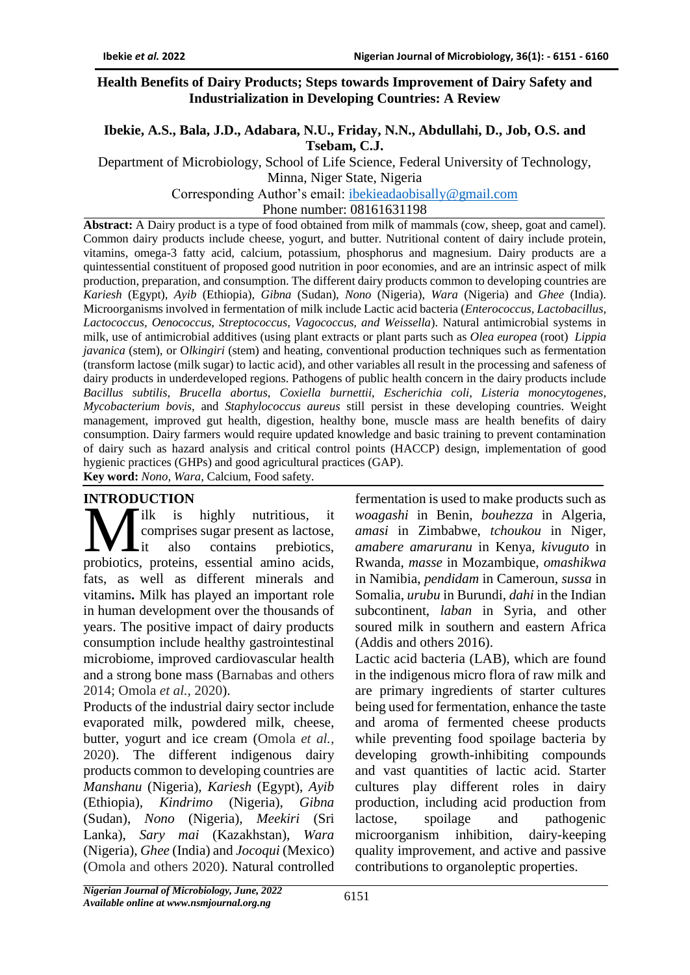#### **Health Benefits of Dairy Products; Steps towards Improvement of Dairy Safety and Industrialization in Developing Countries: A Review**

## **Ibekie, A.S., Bala, J.D., Adabara, N.U., Friday, N.N., Abdullahi, D., Job, O.S. and Tsebam, C.J.**

Department of Microbiology, School of Life Science, Federal University of Technology, Minna, Niger State, Nigeria

Corresponding Author's email: [ibekieadaobisally@gmail.com](mailto:ibekieadaobisally@gmail.com)

Phone number: 08161631198

**Abstract:** A Dairy product is a type of food obtained from milk of mammals (cow, sheep, goat and camel). Common dairy products include cheese, yogurt, and butter. Nutritional content of dairy include protein, vitamins, omega-3 fatty acid, calcium, potassium, phosphorus and magnesium. Dairy products are a quintessential constituent of proposed good nutrition in poor economies, and are an intrinsic aspect of milk production, preparation, and consumption. The different dairy products common to developing countries are *Kariesh* (Egypt), *Ayib* (Ethiopia), *Gibna* (Sudan), *Nono* (Nigeria), *Wara* (Nigeria) and *Ghee* (India). Microorganisms involved in fermentation of milk include Lactic acid bacteria (*Enterococcus, Lactobacillus, Lactococcus, Oenococcus, Streptococcus, Vagococcus, and Weissella*). Natural antimicrobial systems in milk, use of antimicrobial additives (using plant extracts or plant parts such as *Olea europea* (root) *Lippia javanica* (stem), or O*lkingiri* (stem) and heating, conventional production techniques such as fermentation (transform lactose (milk sugar) to lactic acid), and other variables all result in the processing and safeness of dairy products in underdeveloped regions. Pathogens of public health concern in the dairy products include *Bacillus subtilis, Brucella abortus*, *Coxiella burnettii*, *Escherichia coli, Listeria monocytogenes*, *Mycobacterium bovis,* and *Staphylococcus aureus* still persist in these developing countries. Weight management, improved gut health, digestion, healthy bone, muscle mass are health benefits of dairy consumption. Dairy farmers would require updated knowledge and basic training to prevent contamination of dairy such as hazard analysis and critical control points (HACCP) design, implementation of good hygienic practices (GHPs) and good agricultural practices (GAP).

**Key word:** *Nono, Wara,* Calcium, Food safety.

### **INTRODUCTION**

ilk is highly nutritious, it comprises sugar present as lactose, it also contains prebiotics, **EXECUTOR**<br>
ik is highly nutritious, it<br>
comprises sugar present as lactose,<br>
probiotics, proteins, essential amino acids, fats, as well as different minerals and vitamins**.** Milk has played an important role in human development over the thousands of years. The positive impact of dairy products consumption include healthy gastrointestinal microbiome, improved cardiovascular health and a strong bone mass (Barnabas and others 2014; Omola *et al.,* 2020).

Products of the industrial dairy sector include evaporated milk, powdered milk, cheese, butter, yogurt and ice cream (Omola *et al.,* 2020). The different indigenous dairy products common to developing countries are *Manshanu* (Nigeria), *Kariesh* (Egypt), *Ayib* (Ethiopia), *Kindrimo* (Nigeria), *Gibna* (Sudan), *Nono* (Nigeria), *Meekiri* (Sri Lanka), *Sary mai* (Kazakhstan), *Wara* (Nigeria), *Ghee* (India) and *Jocoqui* (Mexico) (Omola and others 2020). Natural controlled

fermentation is used to make products such as *woagashi* in Benin, *bouhezza* in Algeria, *amasi* in Zimbabwe, *tchoukou* in Niger, *amabere amaruranu* in Kenya, *kivuguto* in Rwanda, *masse* in Mozambique, *omashikwa*  in Namibia, *pendidam* in Cameroun, *sussa* in Somalia, *urubu* in Burundi, *dahi* in the Indian subcontinent, *laban* in Syria, and other soured milk in southern and eastern Africa (Addis and others 2016).

Lactic acid bacteria (LAB), which are found in the indigenous micro flora of raw milk and are primary ingredients of starter cultures being used for fermentation, enhance the taste and aroma of fermented cheese products while preventing food spoilage bacteria by developing growth-inhibiting compounds and vast quantities of lactic acid. Starter cultures play different roles in dairy production, including acid production from lactose, spoilage and pathogenic microorganism inhibition, dairy-keeping quality improvement, and active and passive contributions to organoleptic properties.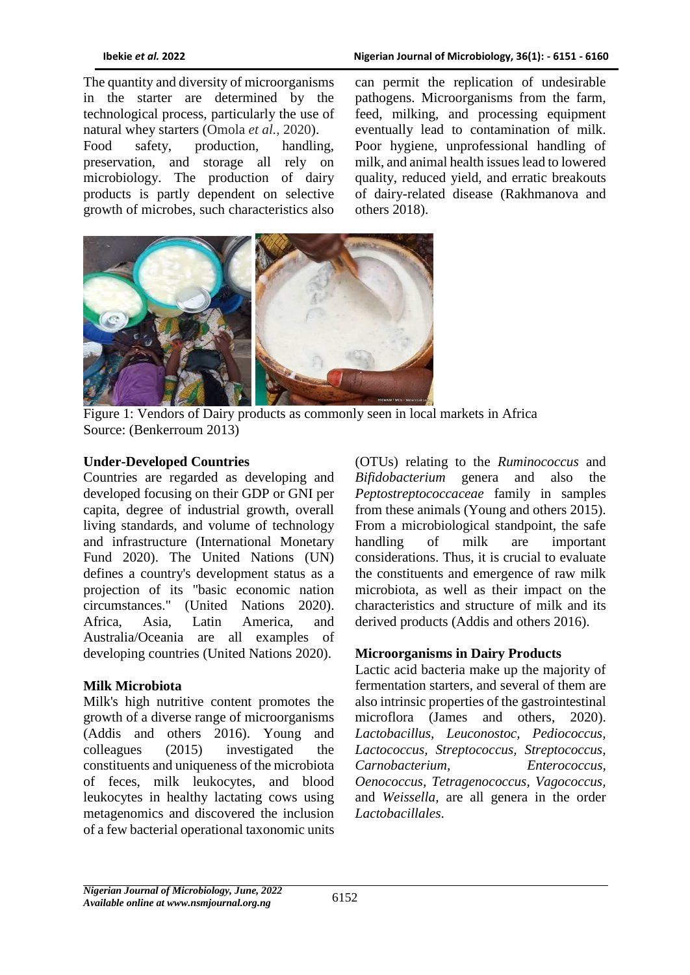The quantity and diversity of microorganisms in the starter are determined by the technological process, particularly the use of natural whey starters (Omola *et al.,* 2020). Food safety, production, handling, preservation, and storage all rely on microbiology. The production of dairy products is partly dependent on selective growth of microbes, such characteristics also can permit the replication of undesirable pathogens. Microorganisms from the farm, feed, milking, and processing equipment eventually lead to contamination of milk. Poor hygiene, unprofessional handling of milk, and animal health issues lead to lowered quality, reduced yield, and erratic breakouts of dairy-related disease (Rakhmanova and others 2018).



Figure 1: Vendors of Dairy products as commonly seen in local markets in Africa Source: (Benkerroum 2013)

#### **Under-Developed Countries**

Countries are regarded as developing and developed focusing on their GDP or GNI per capita, degree of industrial growth, overall living standards, and volume of technology and infrastructure (International Monetary Fund 2020). The United Nations (UN) defines a country's development status as a projection of its "basic economic nation circumstances." (United Nations 2020). Africa, Asia, Latin America, and Australia/Oceania are all examples of developing countries (United Nations 2020).

### **Milk Microbiota**

Milk's high nutritive content promotes the growth of a diverse range of microorganisms (Addis and others 2016). Young and colleagues (2015) investigated the constituents and uniqueness of the microbiota of feces, milk leukocytes, and blood leukocytes in healthy lactating cows using metagenomics and discovered the inclusion of a few bacterial operational taxonomic units

(OTUs) relating to the *Ruminococcus* and *Bifidobacterium* genera and also the *Peptostreptococcaceae* family in samples from these animals (Young and others [2015\)](https://onlinelibrary.wiley.com/doi/full/10.1111/1541-4337.12568#crf312568-bib-0466). From a microbiological standpoint, the safe handling of milk are important considerations. Thus, it is crucial to evaluate the constituents and emergence of raw milk microbiota, as well as their impact on the characteristics and structure of milk and its derived products (Addis and others 2016).

### **Microorganisms in Dairy Products**

Lactic acid bacteria make up the majority of fermentation starters, and several of them are also intrinsic properties of the gastrointestinal microflora (James and others, 2020). *Lactobacillus, Leuconostoc, Pediococcus, Lactococcus, Streptococcus, Streptococcus, Carnobacterium, Enterococcus, Oenococcus, Tetragenococcus, Vagococcus,*  and *Weissella,* are all genera in the order *Lactobacillales*.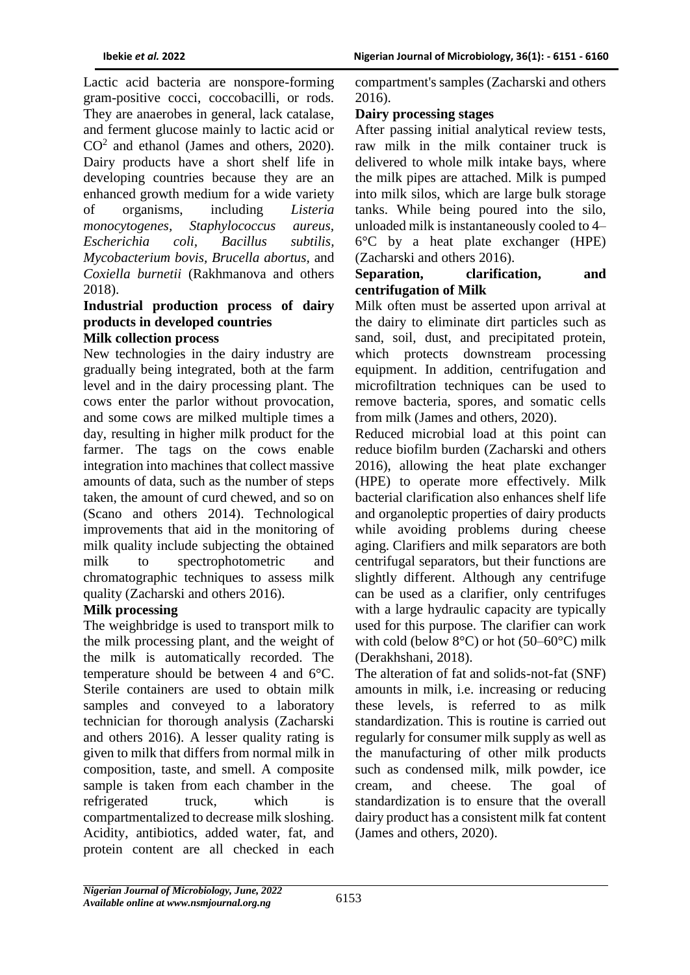Lactic acid bacteria are nonspore-forming gram-positive cocci, coccobacilli, or rods. They are anaerobes in general, lack catalase, and ferment glucose mainly to lactic acid or  $CO<sup>2</sup>$  and ethanol (James and others, 2020). Dairy products have a short shelf life in developing countries because they are an enhanced growth medium for a wide variety of organisms, including *Listeria monocytogenes, Staphylococcus aureus, Escherichia coli, Bacillus subtilis, Mycobacterium bovis, Brucella abortus,* and *Coxiella burnetii* (Rakhmanova and others 2018).

# **Industrial production process of dairy products in developed countries**

## **Milk collection process**

New technologies in the dairy industry are gradually being integrated, both at the farm level and in the dairy processing plant. The cows enter the parlor without provocation, and some cows are milked multiple times a day, resulting in higher milk product for the farmer. The tags on the cows enable integration into machines that collect massive amounts of data, such as the number of steps taken, the amount of curd chewed, and so on (Scano and others 2014). Technological improvements that aid in the monitoring of milk quality include subjecting the obtained milk to spectrophotometric and chromatographic techniques to assess milk quality (Zacharski and others 2016).

### **Milk processing**

The weighbridge is used to transport milk to the milk processing plant, and the weight of the milk is automatically recorded. The temperature should be between 4 and 6°C. Sterile containers are used to obtain milk samples and conveyed to a laboratory technician for thorough analysis (Zacharski and others 2016). A lesser quality rating is given to milk that differs from normal milk in composition, taste, and smell. A composite sample is taken from each chamber in the refrigerated truck, which is compartmentalized to decrease milk sloshing. Acidity, antibiotics, added water, fat, and protein content are all checked in each

compartment's samples (Zacharski and others 2016).

### **Dairy processing stages**

After passing initial analytical review tests, raw milk in the milk container truck is delivered to whole milk intake bays, where the milk pipes are attached. Milk is pumped into milk silos, which are large bulk storage tanks. While being poured into the silo, unloaded milk is instantaneously cooled to 4– 6°C by a heat plate exchanger (HPE) (Zacharski and others 2016).

#### **Separation, clarification, and centrifugation of Milk**

Milk often must be asserted upon arrival at the dairy to eliminate dirt particles such as sand, soil, dust, and precipitated protein, which protects downstream processing equipment. In addition, centrifugation and microfiltration techniques can be used to remove bacteria, spores, and somatic cells from milk (James and others, 2020).

Reduced microbial load at this point can reduce biofilm burden (Zacharski and others 2016), allowing the heat plate exchanger (HPE) to operate more effectively. Milk bacterial clarification also enhances shelf life and organoleptic properties of dairy products while avoiding problems during cheese aging. Clarifiers and milk separators are both centrifugal separators, but their functions are slightly different. Although any centrifuge can be used as a clarifier, only centrifuges with a large hydraulic capacity are typically used for this purpose. The clarifier can work with cold (below  $8^{\circ}$ C) or hot (50–60 $^{\circ}$ C) milk (Derakhshani, 2018).

The alteration of fat and solids-not-fat (SNF) amounts in milk, i.e. increasing or reducing these levels, is referred to as milk standardization. This is routine is carried out regularly for consumer milk supply as well as the manufacturing of other milk products such as condensed milk, milk powder, ice cream, and cheese. The goal of standardization is to ensure that the overall dairy product has a consistent milk fat content (James and others, 2020).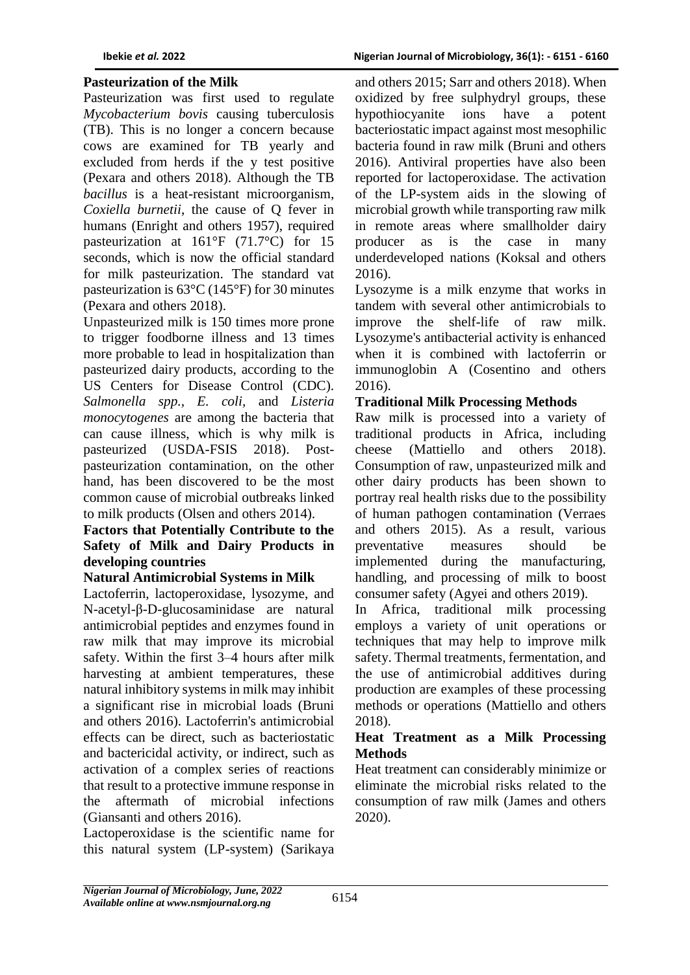## **Pasteurization of the Milk**

Pasteurization was first used to regulate *Mycobacterium bovis* causing tuberculosis (TB). This is no longer a concern because cows are examined for TB yearly and excluded from herds if the y test positive (Pexara and others 2018). Although the TB *bacillus* is a heat-resistant microorganism, *Coxiella burnetii*, the cause of Q fever in humans (Enright and others 1957), required pasteurization at 161°F (71.7°C) for 15 seconds, which is now the official standard for milk pasteurization. The standard vat pasteurization is 63°C (145°F) for 30 minutes (Pexara and others 2018).

Unpasteurized milk is 150 times more prone to trigger foodborne illness and 13 times more probable to lead in hospitalization than pasteurized dairy products, according to the US Centers for Disease Control (CDC). *Salmonella spp., E. coli,* and *Listeria monocytogenes* are among the bacteria that can cause illness, which is why milk is pasteurized (USDA-FSIS 2018). Postpasteurization contamination, on the other hand, has been discovered to be the most common cause of microbial outbreaks linked to milk products (Olsen and others 2014).

### **Factors that Potentially Contribute to the Safety of Milk and Dairy Products in developing countries**

### **Natural Antimicrobial Systems in Milk**

Lactoferrin, lactoperoxidase, lysozyme, and N-acetyl-β-D-glucosaminidase are natural antimicrobial peptides and enzymes found in raw milk that may improve its microbial safety. Within the first 3–4 hours after milk harvesting at ambient temperatures, these natural inhibitory systems in milk may inhibit a significant rise in microbial loads (Bruni and others 2016). Lactoferrin's antimicrobial effects can be direct, such as bacteriostatic and bactericidal activity, or indirect, such as activation of a complex series of reactions that result to a protective immune response in the aftermath of microbial infections (Giansanti and others 2016).

Lactoperoxidase is the scientific name for this natural system (LP-system) (Sarikaya and others 2015; Sarr and others 2018). When oxidized by free sulphydryl groups, these hypothiocyanite ions have a potent bacteriostatic impact against most mesophilic bacteria found in raw milk (Bruni and others 2016). Antiviral properties have also been reported for lactoperoxidase. The activation of the LP-system aids in the slowing of microbial growth while transporting raw milk in remote areas where smallholder dairy producer as is the case in many underdeveloped nations (Koksal and others 2016).

Lysozyme is a milk enzyme that works in tandem with several other antimicrobials to improve the shelf-life of raw milk. Lysozyme's antibacterial activity is enhanced when it is combined with lactoferrin or immunoglobin A (Cosentino and others 2016).

# **Traditional Milk Processing Methods**

Raw milk is processed into a variety of traditional products in Africa, including cheese (Mattiello and others 2018). Consumption of raw, unpasteurized milk and other dairy products has been shown to portray real health risks due to the possibility of human pathogen contamination (Verraes and others 2015). As a result, various preventative measures should be implemented during the manufacturing, handling, and processing of milk to boost consumer safety (Agyei and others 2019).

In Africa, traditional milk processing employs a variety of unit operations or techniques that may help to improve milk safety. Thermal treatments, fermentation, and the use of antimicrobial additives during production are examples of these processing methods or operations (Mattiello and others 2018).

## **Heat Treatment as a Milk Processing Methods**

Heat treatment can considerably minimize or eliminate the microbial risks related to the consumption of raw milk (James and others 2020).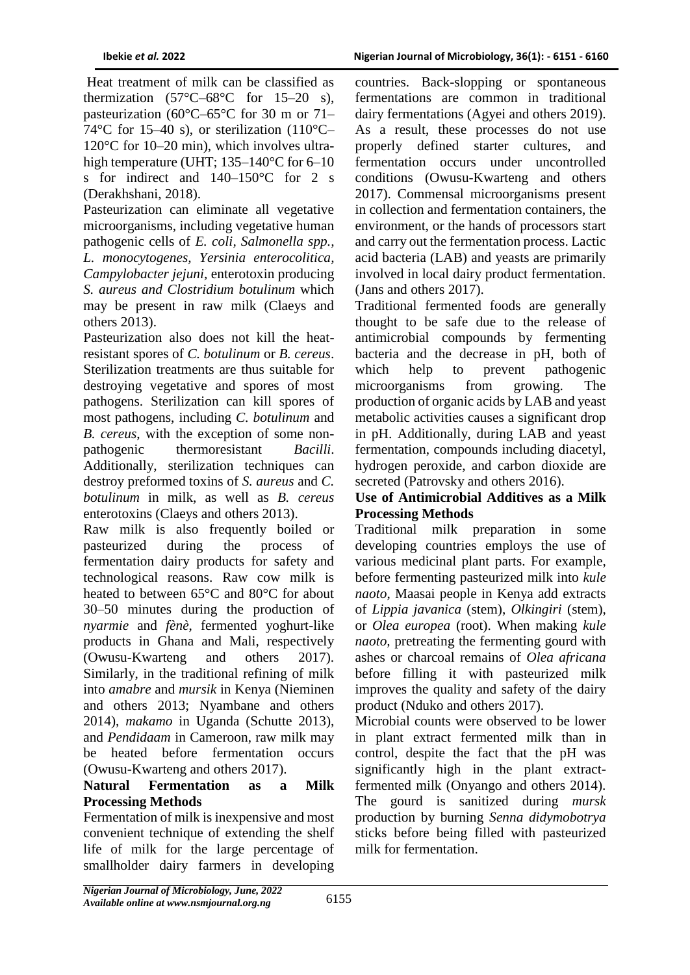Heat treatment of milk can be classified as thermization  $(57^{\circ}C - 68^{\circ}C)$  for  $15-20$  s), pasteurization (60°C–65°C for 30 m or 71– 74 $\degree$ C for 15–40 s), or sterilization (110 $\degree$ C– 120°C for 10–20 min), which involves ultrahigh temperature (UHT; 135–140°C for 6–10 s for indirect and 140–150°C for 2 s (Derakhshani, 2018).

Pasteurization can eliminate all vegetative microorganisms, including vegetative human pathogenic cells of *E. coli, Salmonella spp., L. monocytogenes, Yersinia enterocolitica, Campylobacter jejuni,* enterotoxin producing *S. aureus and Clostridium botulinum* which may be present in raw milk (Claeys and others 2013).

Pasteurization also does not kill the heatresistant spores of *C. botulinum* or *B. cereus*. Sterilization treatments are thus suitable for destroying vegetative and spores of most pathogens. Sterilization can kill spores of most pathogens, including *C. botulinum* and *B. cereus*, with the exception of some nonpathogenic thermoresistant *Bacilli*. Additionally, sterilization techniques can destroy preformed toxins of *S. aureus* and *C. botulinum* in milk, as well as *B. cereus* enterotoxins (Claeys and others 2013).

Raw milk is also frequently boiled or pasteurized during the process of fermentation dairy products for safety and technological reasons. Raw cow milk is heated to between 65°C and 80°C for about 30–50 minutes during the production of *nyarmie* and *fènè*, fermented yoghurt-like products in Ghana and Mali, respectively (Owusu-Kwarteng and others 2017). Similarly, in the traditional refining of milk into *amabre* and *mursik* in Kenya (Nieminen and others 2013; Nyambane and others 2014), *makamo* in Uganda (Schutte 2013), and *Pendidaam* in Cameroon, raw milk may be heated before fermentation occurs (Owusu-Kwarteng and others 2017).

### **Natural Fermentation as a Milk Processing Methods**

Fermentation of milk is inexpensive and most convenient technique of extending the shelf life of milk for the large percentage of smallholder dairy farmers in developing

countries. Back-slopping or spontaneous fermentations are common in traditional dairy fermentations (Agyei and others 2019). As a result, these processes do not use properly defined starter cultures, and fermentation occurs under uncontrolled conditions (Owusu-Kwarteng and others 2017). Commensal microorganisms present in collection and fermentation containers, the environment, or the hands of processors start and carry out the fermentation process. Lactic acid bacteria (LAB) and yeasts are primarily involved in local dairy product fermentation. (Jans and others 2017).

Traditional fermented foods are generally thought to be safe due to the release of antimicrobial compounds by fermenting bacteria and the decrease in pH, both of which help to prevent pathogenic microorganisms from growing. The production of organic acids by LAB and yeast metabolic activities causes a significant drop in pH. Additionally, during LAB and yeast fermentation, compounds including diacetyl, hydrogen peroxide, and carbon dioxide are secreted (Patrovsky and others 2016).

### **Use of Antimicrobial Additives as a Milk Processing Methods**

Traditional milk preparation in some developing countries employs the use of various medicinal plant parts. For example, before fermenting pasteurized milk into *kule naoto*, Maasai people in Kenya add extracts of *Lippia javanica* (stem), *Olkingiri* (stem), or *Olea europea* (root). When making *kule naoto,* pretreating the fermenting gourd with ashes or charcoal remains of *Olea africana* before filling it with pasteurized milk improves the quality and safety of the dairy product (Nduko and others 2017).

Microbial counts were observed to be lower in plant extract fermented milk than in control, despite the fact that the pH was significantly high in the plant extractfermented milk (Onyango and others 2014). The gourd is sanitized during *mursk* production by burning *Senna didymobotrya* sticks before being filled with pasteurized milk for fermentation.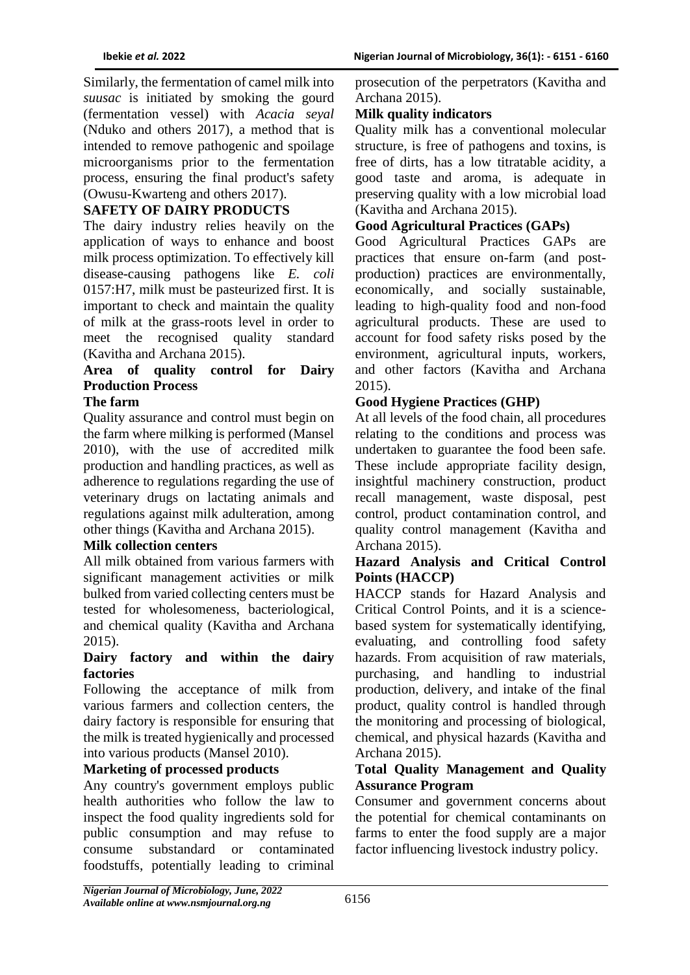Similarly, the fermentation of camel milk into *suusac* is initiated by smoking the gourd (fermentation vessel) with *Acacia seyal* (Nduko and others 2017), a method that is intended to remove pathogenic and spoilage microorganisms prior to the fermentation process, ensuring the final product's safety (Owusu-Kwarteng and others 2017).

# **SAFETY OF DAIRY PRODUCTS**

The dairy industry relies heavily on the application of ways to enhance and boost milk process optimization. To effectively kill disease-causing pathogens like *E. coli* 0157:H7, milk must be pasteurized first. It is important to check and maintain the quality of milk at the grass-roots level in order to meet the recognised quality standard (Kavitha and Archana 2015).

# **Area of quality control for Dairy Production Process**

# **The farm**

Quality assurance and control must begin on the farm where milking is performed (Mansel 2010), with the use of accredited milk production and handling practices, as well as adherence to regulations regarding the use of veterinary drugs on lactating animals and regulations against milk adulteration, among other things (Kavitha and Archana 2015).

### **Milk collection centers**

All milk obtained from various farmers with significant management activities or milk bulked from varied collecting centers must be tested for wholesomeness, bacteriological, and chemical quality (Kavitha and Archana 2015).

#### **Dairy factory and within the dairy factories**

Following the acceptance of milk from various farmers and collection centers, the dairy factory is responsible for ensuring that the milk is treated hygienically and processed into various products (Mansel 2010).

### **Marketing of processed products**

Any country's government employs public health authorities who follow the law to inspect the food quality ingredients sold for public consumption and may refuse to consume substandard or contaminated foodstuffs, potentially leading to criminal prosecution of the perpetrators (Kavitha and Archana 2015).

#### **Milk quality indicators**

Quality milk has a conventional molecular structure, is free of pathogens and toxins, is free of dirts, has a low titratable acidity, a good taste and aroma, is adequate in preserving quality with a low microbial load (Kavitha and Archana 2015).

## **Good Agricultural Practices (GAPs)**

Good Agricultural Practices GAPs are practices that ensure on-farm (and postproduction) practices are environmentally, economically, and socially sustainable, leading to high-quality food and non-food agricultural products. These are used to account for food safety risks posed by the environment, agricultural inputs, workers, and other factors (Kavitha and Archana 2015).

### **Good Hygiene Practices (GHP)**

At all levels of the food chain, all procedures relating to the conditions and process was undertaken to guarantee the food been safe. These include appropriate facility design, insightful machinery construction, product recall management, waste disposal, pest control, product contamination control, and quality control management (Kavitha and Archana 2015).

### **Hazard Analysis and Critical Control Points (HACCP)**

HACCP stands for Hazard Analysis and Critical Control Points, and it is a sciencebased system for systematically identifying, evaluating, and controlling food safety hazards. From acquisition of raw materials, purchasing, and handling to industrial production, delivery, and intake of the final product, quality control is handled through the monitoring and processing of biological, chemical, and physical hazards (Kavitha and Archana 2015).

#### **Total Quality Management and Quality Assurance Program**

Consumer and government concerns about the potential for chemical contaminants on farms to enter the food supply are a major factor influencing livestock industry policy.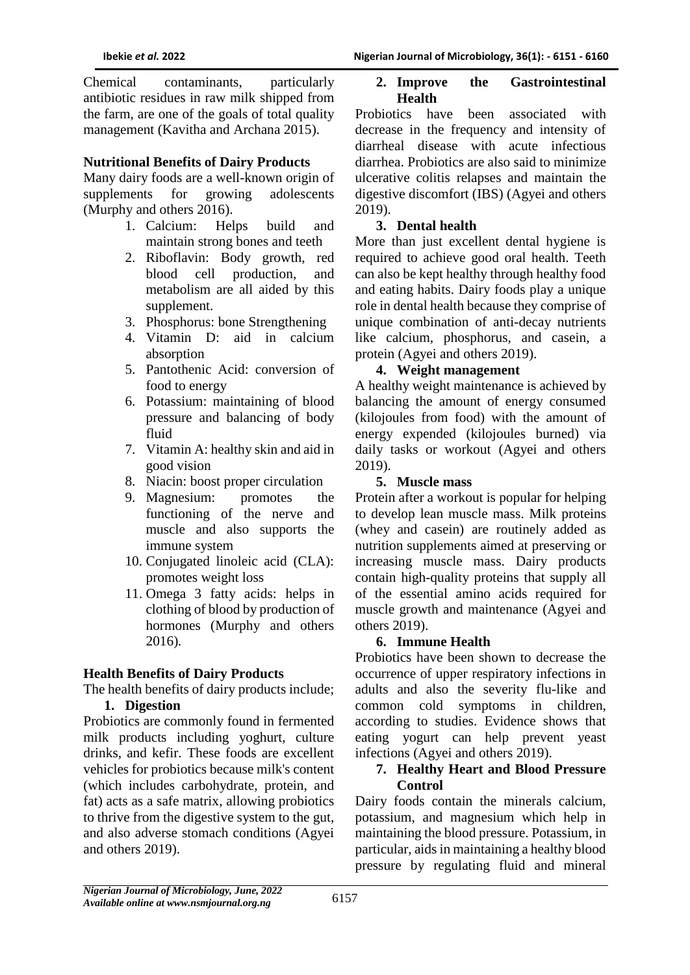Chemical contaminants, particularly antibiotic residues in raw milk shipped from the farm, are one of the goals of total quality management (Kavitha and Archana 2015).

#### **Nutritional Benefits of Dairy Products**

Many dairy foods are a well-known origin of supplements for growing adolescents (Murphy and others 2016).

- 1. Calcium: Helps build and maintain strong bones and teeth
- 2. Riboflavin: Body growth, red blood cell production, and metabolism are all aided by this supplement.
- 3. Phosphorus: bone Strengthening
- 4. Vitamin D: aid in calcium absorption
- 5. Pantothenic Acid: conversion of food to energy
- 6. Potassium: maintaining of blood pressure and balancing of body fluid
- 7. Vitamin A: healthy skin and aid in good vision
- 8. Niacin: boost proper circulation
- 9. Magnesium: promotes the functioning of the nerve and muscle and also supports the immune system
- 10. Conjugated linoleic acid (CLA): promotes weight loss
- 11. Omega 3 fatty acids: helps in clothing of blood by production of hormones (Murphy and others 2016)*.*

### **Health Benefits of Dairy Products**

The health benefits of dairy products include;

#### **1. Digestion**

Probiotics are commonly found in fermented milk products including yoghurt, culture drinks, and kefir. These foods are excellent vehicles for probiotics because milk's content (which includes carbohydrate, protein, and fat) acts as a safe matrix, allowing probiotics to thrive from the digestive system to the gut, and also adverse stomach conditions (Agyei and others 2019).

#### **2. Improve the Gastrointestinal Health**

Probiotics have been associated with decrease in the frequency and intensity of diarrheal disease with acute infectious diarrhea. Probiotics are also said to minimize ulcerative colitis relapses and maintain the digestive discomfort (IBS) (Agyei and others 2019).

#### **3. Dental health**

More than just excellent dental hygiene is required to achieve good oral health. Teeth can also be kept healthy through healthy food and eating habits. Dairy foods play a unique role in dental health because they comprise of unique combination of anti-decay nutrients like calcium, phosphorus, and casein, a protein (Agyei and others 2019).

#### **4. Weight management**

A healthy weight maintenance is achieved by balancing the amount of energy consumed (kilojoules from food) with the amount of energy expended (kilojoules burned) via daily tasks or workout (Agyei and others 2019).

#### **5. Muscle mass**

Protein after a workout is popular for helping to develop lean muscle mass. Milk proteins (whey and casein) are routinely added as nutrition supplements aimed at preserving or increasing muscle mass. Dairy products contain high-quality proteins that supply all of the essential amino acids required for muscle growth and maintenance (Agyei and others 2019).

### **6. Immune Health**

Probiotics have been shown to decrease the occurrence of upper respiratory infections in adults and also the severity flu-like and common cold symptoms in children, according to studies. Evidence shows that eating yogurt can help prevent yeast infections (Agyei and others 2019).

#### **7. Healthy Heart and Blood Pressure Control**

Dairy foods contain the minerals calcium, potassium, and magnesium which help in maintaining the blood pressure. Potassium, in particular, aids in maintaining a healthy blood pressure by regulating fluid and mineral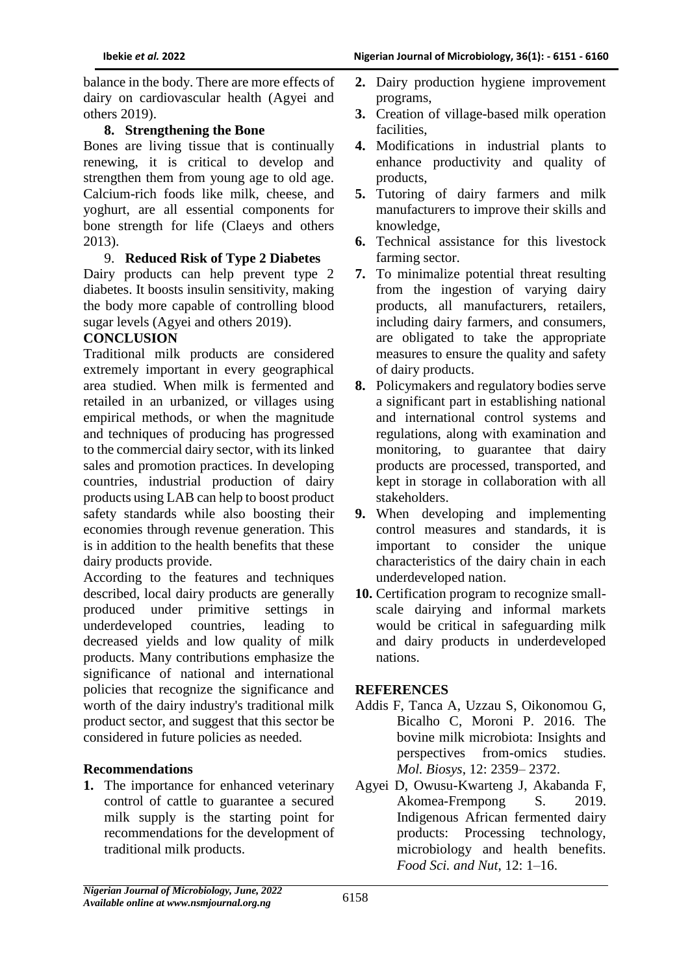balance in the body. There are more effects of dairy on cardiovascular health (Agyei and others 2019).

## **8. Strengthening the Bone**

Bones are living tissue that is continually renewing, it is critical to develop and strengthen them from young age to old age. Calcium-rich foods like milk, cheese, and yoghurt, are all essential components for bone strength for life (Claeys and others 2013).

## 9. **Reduced Risk of Type 2 Diabetes**

Dairy products can help prevent type 2 diabetes. It boosts insulin sensitivity, making the body more capable of controlling blood sugar levels (Agyei and others 2019).

## **CONCLUSION**

Traditional milk products are considered extremely important in every geographical area studied. When milk is fermented and retailed in an urbanized, or villages using empirical methods, or when the magnitude and techniques of producing has progressed to the commercial dairy sector, with its linked sales and promotion practices. In developing countries, industrial production of dairy products using LAB can help to boost product safety standards while also boosting their economies through revenue generation. This is in addition to the health benefits that these dairy products provide.

According to the features and techniques described, local dairy products are generally produced under primitive settings in underdeveloped countries, leading to decreased yields and low quality of milk products. Many contributions emphasize the significance of national and international policies that recognize the significance and worth of the dairy industry's traditional milk product sector, and suggest that this sector be considered in future policies as needed.

# **Recommendations**

**1.** The importance for enhanced veterinary control of cattle to guarantee a secured milk supply is the starting point for recommendations for the development of traditional milk products.

- **2.** Dairy production hygiene improvement programs,
- **3.** Creation of village-based milk operation facilities,
- **4.** Modifications in industrial plants to enhance productivity and quality of products,
- **5.** Tutoring of dairy farmers and milk manufacturers to improve their skills and knowledge,
- **6.** Technical assistance for this livestock farming sector.
- **7.** To minimalize potential threat resulting from the ingestion of varying dairy products, all manufacturers, retailers, including dairy farmers, and consumers, are obligated to take the appropriate measures to ensure the quality and safety of dairy products.
- **8.** Policymakers and regulatory bodies serve a significant part in establishing national and international control systems and regulations, along with examination and monitoring, to guarantee that dairy products are processed, transported, and kept in storage in collaboration with all stakeholders.
- **9.** When developing and implementing control measures and standards, it is important to consider the unique characteristics of the dairy chain in each underdeveloped nation.
- **10.** Certification program to recognize smallscale dairying and informal markets would be critical in safeguarding milk and dairy products in underdeveloped nations.

### **REFERENCES**

- Addis F, Tanca A, Uzzau S, Oikonomou G, Bicalho C, Moroni P. 2016. The bovine milk microbiota: Insights and perspectives from-omics studies. *Mol. Biosys*, 12: 2359– 2372.
- Agyei D, Owusu-Kwarteng J, Akabanda F, Akomea-Frempong S. 2019. Indigenous African fermented dairy products: Processing technology, microbiology and health benefits. *Food Sci. and Nut*, 12: 1–16.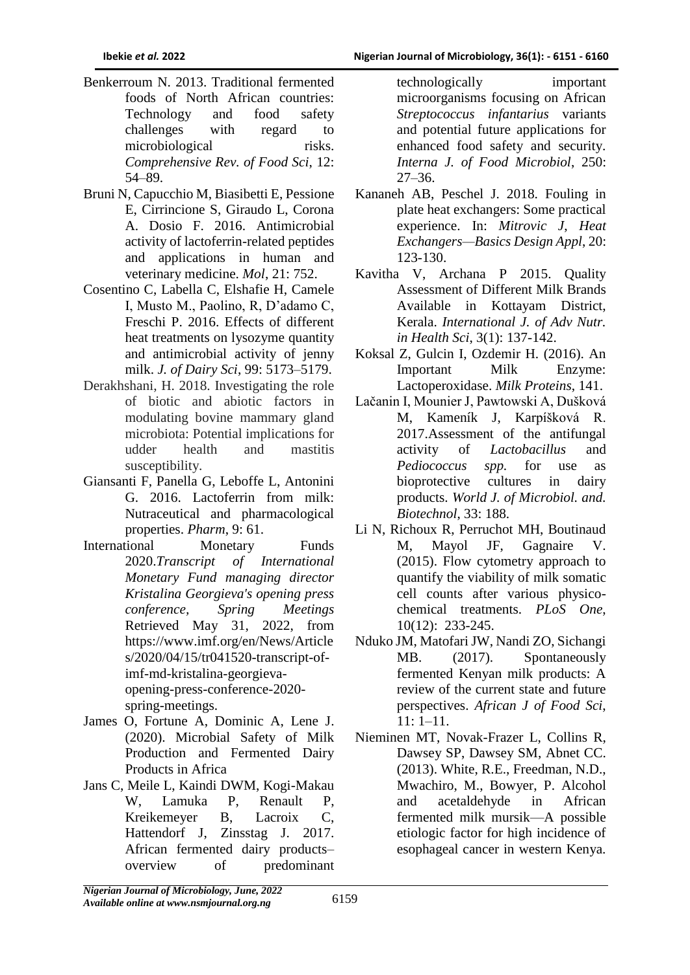- Benkerroum N. 2013. Traditional fermented foods of North African countries: Technology and food safety challenges with regard to microbiological risks. *Comprehensive Rev. of Food Sci*, 12: 54–89.
- Bruni N, Capucchio M, Biasibetti E, Pessione E, Cirrincione S, Giraudo L, Corona A. Dosio F. 2016. Antimicrobial activity of lactoferrin-related peptides and applications in human and veterinary medicine. *Mol*, 21: 752.
- Cosentino C, Labella C, Elshafie H, Camele I, Musto M., Paolino, R, D'adamo C, Freschi P. 2016. Effects of different heat treatments on lysozyme quantity and antimicrobial activity of jenny milk. *J. of Dairy Sci*, 99: 5173–5179.
- Derakhshani, H. 2018. Investigating the role of biotic and abiotic factors in modulating bovine mammary gland microbiota: Potential implications for udder health and mastitis susceptibility.
- Giansanti F, Panella G, Leboffe L, Antonini G. 2016. Lactoferrin from milk: Nutraceutical and pharmacological properties. *Pharm*, 9: 61.
- International Monetary Funds 2020.*Transcript of International Monetary Fund managing director Kristalina Georgieva's opening press conference, Spring Meetings* Retrieved May 31, 2022, from https://www.imf.org/en/News/Article s/2020/04/15/tr041520-transcript-ofimf-md-kristalina-georgievaopening-press-conference-2020 spring-meetings.
- [James O,](https://sciprofiles.com/profile/1063811) [Fortune A,](https://sciprofiles.com/profile/author/eTFuMW41ZVFqYU5SdkhDRzI3WGhpSnlEekU4Z2ZuVjRBTEV2ZlA5N3F6OD0=) [Dominic A,](https://sciprofiles.com/profile/216848) [Lene J.](https://sciprofiles.com/profile/author/LzcxTzMwOTRRTGZyczNJZElscXJFQT09) (2020). Microbial Safety of Milk Production and Fermented Dairy Products in Africa
- Jans C, Meile L, Kaindi DWM, Kogi-Makau W, Lamuka P, Renault P, Kreikemeyer B, Lacroix C, Hattendorf J, Zinsstag J. 2017. African fermented dairy products– overview of predominant

technologically important microorganisms focusing on African *Streptococcus infantarius* variants and potential future applications for enhanced food safety and security. *Interna J. of Food Microbiol*, 250: 27–36.

- Kananeh AB, Peschel J. 2018. Fouling in plate heat exchangers: Some practical experience. In: *Mitrovic J*, *Heat Exchangers—Basics Design Appl*, 20: 123-130.
- Kavitha V, Archana P 2015. Quality Assessment of Different Milk Brands Available in Kottayam District, Kerala. *International J. of Adv Nutr. in Health Sci*, 3(1): 137-142.
- Koksal Z, Gulcin I, Ozdemir H. (2016). An Important Milk Enzyme: Lactoperoxidase. *Milk Proteins*, 141.
- Lačanin I, Mounier J, Pawtowski A, Dušková M, Kameník J, Karpíšková R. 2017.Assessment of the antifungal activity of *Lactobacillus* and *Pediococcus spp.* for use as bioprotective cultures in dairy products. *World J. of Microbiol. and. Biotechnol*, 33: 188.
- Li N, Richoux R, Perruchot MH, Boutinaud M, Mayol JF, Gagnaire V. (2015). Flow cytometry approach to quantify the viability of milk somatic cell counts after various physicochemical treatments. *PLoS One*, 10(12): 233-245.
- Nduko JM, Matofari JW, Nandi ZO, Sichangi MB. (2017). Spontaneously fermented Kenyan milk products: A review of the current state and future perspectives. *African J of Food Sci*, 11: 1–11.
- Nieminen MT, Novak-Frazer L, Collins R, Dawsey SP, Dawsey SM, Abnet CC. (2013). White, R.E., Freedman, N.D., Mwachiro, M., Bowyer, P. Alcohol and acetaldehyde in African fermented milk mursik—A possible etiologic factor for high incidence of esophageal cancer in western Kenya.